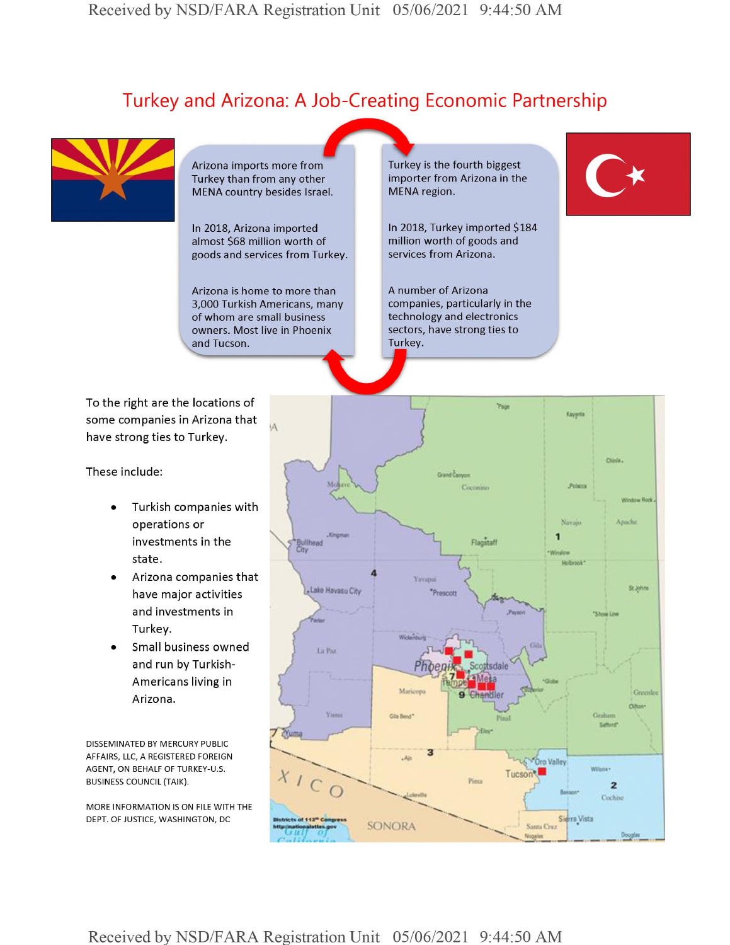## Turkey and Arizona: A Job-Creating Economic Partnership



Arizona imports more from Turkey than from any other MENA country besides Israel.

In 2018, Arizona imported almost \$68 million worth of goods and services from Turkey.

Arizona is home to more than 3,000 Turkish Americans, many of whom are small business owners. Most live in Phoenix and Tucson. Hand And Comments of the Comments of the Comments of the Comments of the Comments of the Comments of the Comments of the Comments of the Comments of the Comments of the Comments of the Comments of the Comments of the Comme

Turkey is the fourth biggest importer from Arizona in the MENA region.

In 2018, Turkey imported \$184 million worth of goods and services from Arizona.

A number of Arizona companies, particularly in the technology and electronics sectors, have strong ties to Turkey.

To the right are the locations of some companies in Arizona that have strong ties to Turkey.

These include:

- Turkish companies with operations or investments in the state.
- Arizona companies that have major activities and investments in Turkey.
- Small business owned and run by Turkish-Americans living in Arizona.

DISSEMINATED BY MERCURY PUBLIC AFFAIRS, LLC, A REGISTERED FOREIGN AGENT, ON BEHALF OF TURKEY-U.S. BUSINESS COUNCIL (TAIK).

MORE INFORMATION IS ON FILE WITH THE DEPT. OF JUSTICE, WASHINGTON, DC